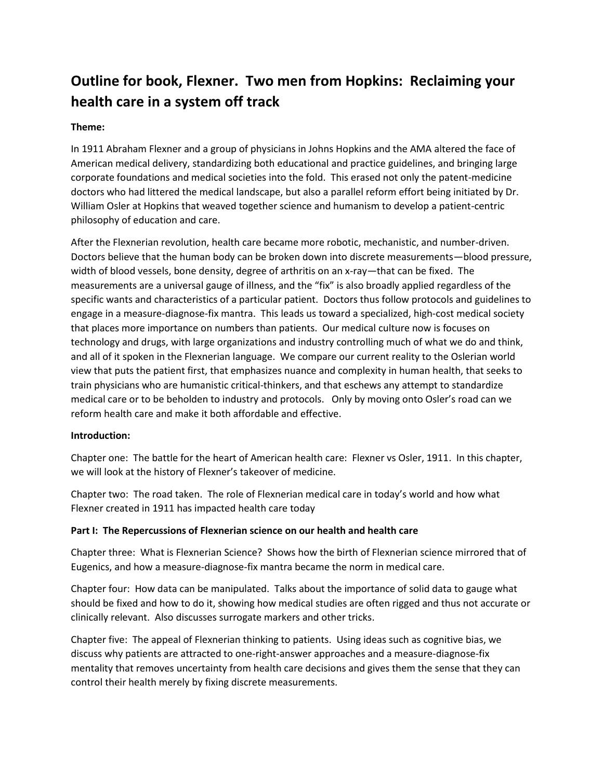# **Outline for book, Flexner. Two men from Hopkins: Reclaiming your health care in a system off track**

## **Theme:**

In 1911 Abraham Flexner and a group of physicians in Johns Hopkins and the AMA altered the face of American medical delivery, standardizing both educational and practice guidelines, and bringing large corporate foundations and medical societies into the fold. This erased not only the patent-medicine doctors who had littered the medical landscape, but also a parallel reform effort being initiated by Dr. William Osler at Hopkins that weaved together science and humanism to develop a patient-centric philosophy of education and care.

After the Flexnerian revolution, health care became more robotic, mechanistic, and number-driven. Doctors believe that the human body can be broken down into discrete measurements—blood pressure, width of blood vessels, bone density, degree of arthritis on an x-ray—that can be fixed. The measurements are a universal gauge of illness, and the "fix" is also broadly applied regardless of the specific wants and characteristics of a particular patient. Doctors thus follow protocols and guidelines to engage in a measure-diagnose-fix mantra. This leads us toward a specialized, high-cost medical society that places more importance on numbers than patients. Our medical culture now is focuses on technology and drugs, with large organizations and industry controlling much of what we do and think, and all of it spoken in the Flexnerian language. We compare our current reality to the Oslerian world view that puts the patient first, that emphasizes nuance and complexity in human health, that seeks to train physicians who are humanistic critical-thinkers, and that eschews any attempt to standardize medical care or to be beholden to industry and protocols. Only by moving onto Osler's road can we reform health care and make it both affordable and effective.

## **Introduction:**

Chapter one: The battle for the heart of American health care: Flexner vs Osler, 1911. In this chapter, we will look at the history of Flexner's takeover of medicine.

Chapter two: The road taken. The role of Flexnerian medical care in today's world and how what Flexner created in 1911 has impacted health care today

## **Part I: The Repercussions of Flexnerian science on our health and health care**

Chapter three: What is Flexnerian Science? Shows how the birth of Flexnerian science mirrored that of Eugenics, and how a measure-diagnose-fix mantra became the norm in medical care.

Chapter four: How data can be manipulated. Talks about the importance of solid data to gauge what should be fixed and how to do it, showing how medical studies are often rigged and thus not accurate or clinically relevant. Also discusses surrogate markers and other tricks.

Chapter five: The appeal of Flexnerian thinking to patients. Using ideas such as cognitive bias, we discuss why patients are attracted to one-right-answer approaches and a measure-diagnose-fix mentality that removes uncertainty from health care decisions and gives them the sense that they can control their health merely by fixing discrete measurements.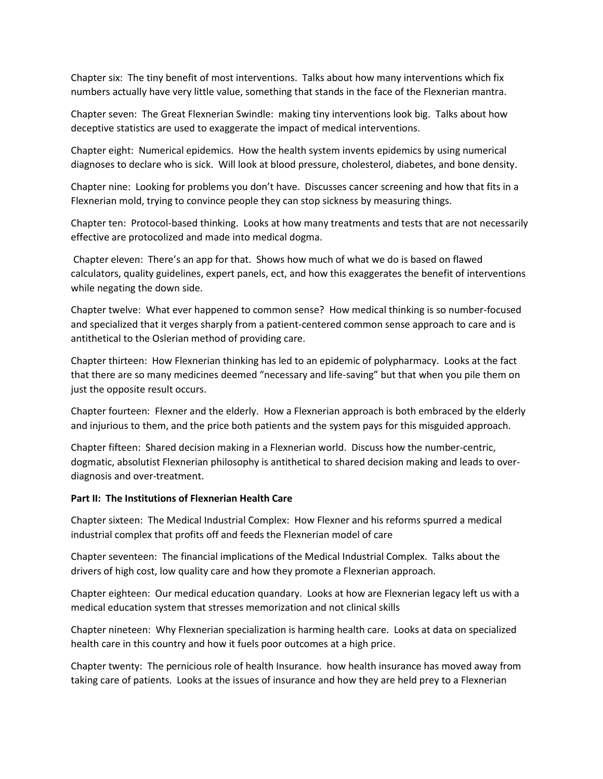Chapter six: The tiny benefit of most interventions. Talks about how many interventions which fix numbers actually have very little value, something that stands in the face of the Flexnerian mantra.

Chapter seven: The Great Flexnerian Swindle: making tiny interventions look big. Talks about how deceptive statistics are used to exaggerate the impact of medical interventions.

Chapter eight: Numerical epidemics. How the health system invents epidemics by using numerical diagnoses to declare who is sick. Will look at blood pressure, cholesterol, diabetes, and bone density.

Chapter nine: Looking for problems you don't have. Discusses cancer screening and how that fits in a Flexnerian mold, trying to convince people they can stop sickness by measuring things.

Chapter ten: Protocol-based thinking. Looks at how many treatments and tests that are not necessarily effective are protocolized and made into medical dogma.

Chapter eleven: There's an app for that. Shows how much of what we do is based on flawed calculators, quality guidelines, expert panels, ect, and how this exaggerates the benefit of interventions while negating the down side.

Chapter twelve: What ever happened to common sense? How medical thinking is so number-focused and specialized that it verges sharply from a patient-centered common sense approach to care and is antithetical to the Oslerian method of providing care.

Chapter thirteen: How Flexnerian thinking has led to an epidemic of polypharmacy. Looks at the fact that there are so many medicines deemed "necessary and life-saving" but that when you pile them on just the opposite result occurs.

Chapter fourteen: Flexner and the elderly. How a Flexnerian approach is both embraced by the elderly and injurious to them, and the price both patients and the system pays for this misguided approach.

Chapter fifteen: Shared decision making in a Flexnerian world. Discuss how the number-centric, dogmatic, absolutist Flexnerian philosophy is antithetical to shared decision making and leads to overdiagnosis and over-treatment.

#### **Part II: The Institutions of Flexnerian Health Care**

Chapter sixteen: The Medical Industrial Complex: How Flexner and his reforms spurred a medical industrial complex that profits off and feeds the Flexnerian model of care

Chapter seventeen: The financial implications of the Medical Industrial Complex. Talks about the drivers of high cost, low quality care and how they promote a Flexnerian approach.

Chapter eighteen: Our medical education quandary. Looks at how are Flexnerian legacy left us with a medical education system that stresses memorization and not clinical skills

Chapter nineteen: Why Flexnerian specialization is harming health care. Looks at data on specialized health care in this country and how it fuels poor outcomes at a high price.

Chapter twenty: The pernicious role of health Insurance. how health insurance has moved away from taking care of patients. Looks at the issues of insurance and how they are held prey to a Flexnerian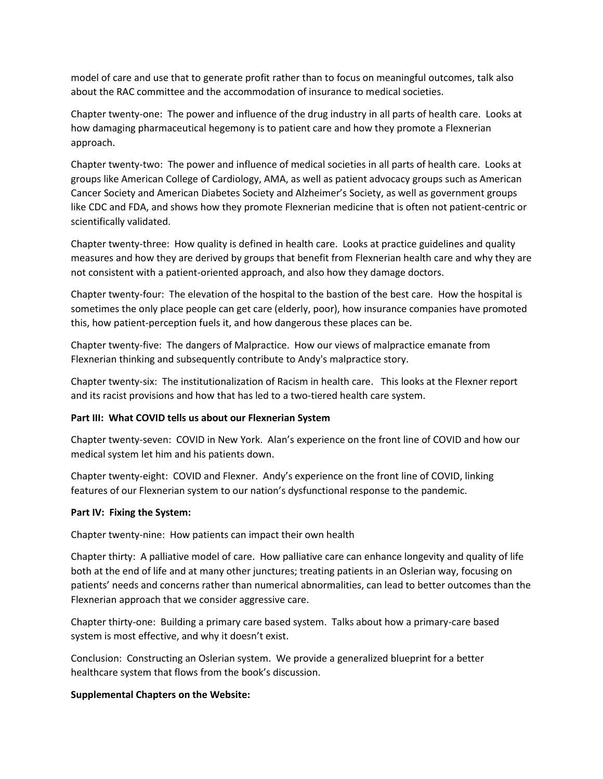model of care and use that to generate profit rather than to focus on meaningful outcomes, talk also about the RAC committee and the accommodation of insurance to medical societies.

Chapter twenty-one: The power and influence of the drug industry in all parts of health care. Looks at how damaging pharmaceutical hegemony is to patient care and how they promote a Flexnerian approach.

Chapter twenty-two: The power and influence of medical societies in all parts of health care. Looks at groups like American College of Cardiology, AMA, as well as patient advocacy groups such as American Cancer Society and American Diabetes Society and Alzheimer's Society, as well as government groups like CDC and FDA, and shows how they promote Flexnerian medicine that is often not patient-centric or scientifically validated.

Chapter twenty-three: How quality is defined in health care. Looks at practice guidelines and quality measures and how they are derived by groups that benefit from Flexnerian health care and why they are not consistent with a patient-oriented approach, and also how they damage doctors.

Chapter twenty-four: The elevation of the hospital to the bastion of the best care. How the hospital is sometimes the only place people can get care (elderly, poor), how insurance companies have promoted this, how patient-perception fuels it, and how dangerous these places can be.

Chapter twenty-five: The dangers of Malpractice. How our views of malpractice emanate from Flexnerian thinking and subsequently contribute to Andy's malpractice story.

Chapter twenty-six: The institutionalization of Racism in health care. This looks at the Flexner report and its racist provisions and how that has led to a two-tiered health care system.

### **Part III: What COVID tells us about our Flexnerian System**

Chapter twenty-seven: COVID in New York. Alan's experience on the front line of COVID and how our medical system let him and his patients down.

Chapter twenty-eight: COVID and Flexner. Andy's experience on the front line of COVID, linking features of our Flexnerian system to our nation's dysfunctional response to the pandemic.

#### **Part IV: Fixing the System:**

Chapter twenty-nine: How patients can impact their own health

Chapter thirty: A palliative model of care. How palliative care can enhance longevity and quality of life both at the end of life and at many other junctures; treating patients in an Oslerian way, focusing on patients' needs and concerns rather than numerical abnormalities, can lead to better outcomes than the Flexnerian approach that we consider aggressive care.

Chapter thirty-one: Building a primary care based system. Talks about how a primary-care based system is most effective, and why it doesn't exist.

Conclusion: Constructing an Oslerian system. We provide a generalized blueprint for a better healthcare system that flows from the book's discussion.

#### **Supplemental Chapters on the Website:**